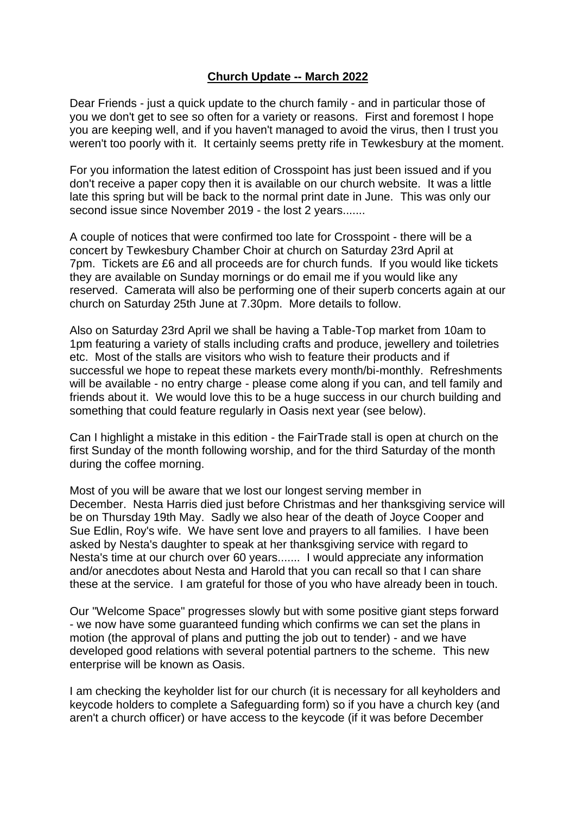## **Church Update -- March 2022**

Dear Friends - just a quick update to the church family - and in particular those of you we don't get to see so often for a variety or reasons. First and foremost I hope you are keeping well, and if you haven't managed to avoid the virus, then I trust you weren't too poorly with it. It certainly seems pretty rife in Tewkesbury at the moment.

For you information the latest edition of Crosspoint has just been issued and if you don't receive a paper copy then it is available on our church website. It was a little late this spring but will be back to the normal print date in June. This was only our second issue since November 2019 - the lost 2 years.......

A couple of notices that were confirmed too late for Crosspoint - there will be a concert by Tewkesbury Chamber Choir at church on Saturday 23rd April at 7pm. Tickets are £6 and all proceeds are for church funds. If you would like tickets they are available on Sunday mornings or do email me if you would like any reserved. Camerata will also be performing one of their superb concerts again at our church on Saturday 25th June at 7.30pm. More details to follow.

Also on Saturday 23rd April we shall be having a Table-Top market from 10am to 1pm featuring a variety of stalls including crafts and produce, jewellery and toiletries etc. Most of the stalls are visitors who wish to feature their products and if successful we hope to repeat these markets every month/bi-monthly. Refreshments will be available - no entry charge - please come along if you can, and tell family and friends about it. We would love this to be a huge success in our church building and something that could feature regularly in Oasis next year (see below).

Can I highlight a mistake in this edition - the FairTrade stall is open at church on the first Sunday of the month following worship, and for the third Saturday of the month during the coffee morning.

Most of you will be aware that we lost our longest serving member in December. Nesta Harris died just before Christmas and her thanksgiving service will be on Thursday 19th May. Sadly we also hear of the death of Joyce Cooper and Sue Edlin, Roy's wife. We have sent love and prayers to all families. I have been asked by Nesta's daughter to speak at her thanksgiving service with regard to Nesta's time at our church over 60 years....... I would appreciate any information and/or anecdotes about Nesta and Harold that you can recall so that I can share these at the service. I am grateful for those of you who have already been in touch.

Our "Welcome Space" progresses slowly but with some positive giant steps forward - we now have some guaranteed funding which confirms we can set the plans in motion (the approval of plans and putting the job out to tender) - and we have developed good relations with several potential partners to the scheme. This new enterprise will be known as Oasis.

I am checking the keyholder list for our church (it is necessary for all keyholders and keycode holders to complete a Safeguarding form) so if you have a church key (and aren't a church officer) or have access to the keycode (if it was before December